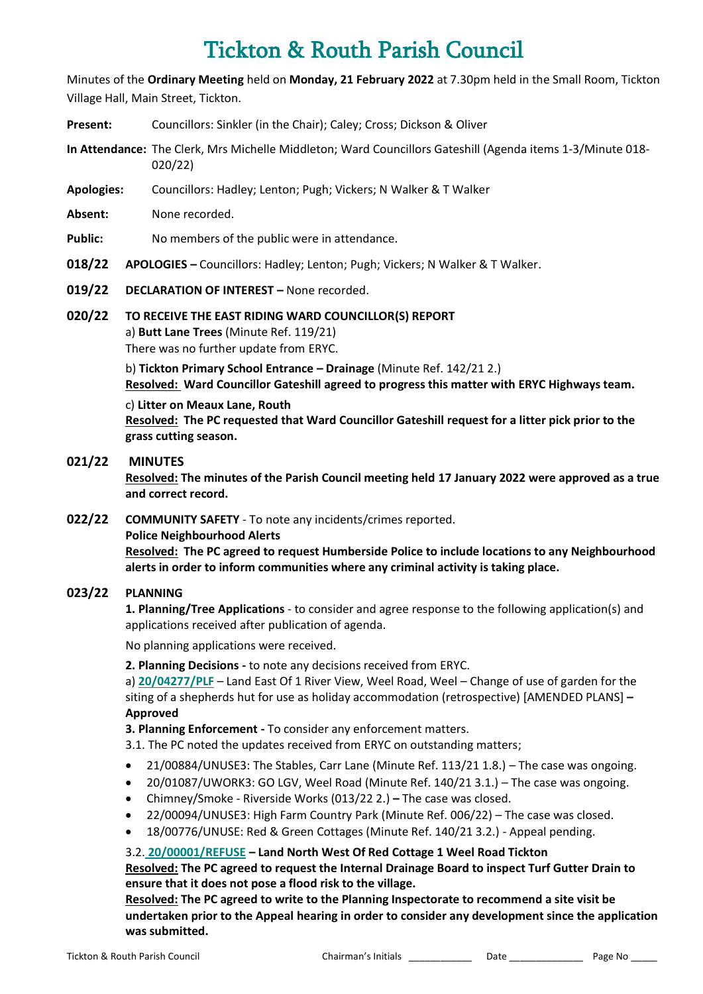# Tickton & Routh Parish Council

Minutes of the **Ordinary Meeting** held on **Monday, 21 February 2022** at 7.30pm held in the Small Room, Tickton Village Hall, Main Street, Tickton.

- **Present:** Councillors: Sinkler (in the Chair); Caley; Cross; Dickson & Oliver
- **In Attendance:** The Clerk, Mrs Michelle Middleton; Ward Councillors Gateshill (Agenda items 1-3/Minute 018- 020/22)
- **Apologies:** Councillors: Hadley; Lenton; Pugh; Vickers; N Walker & T Walker
- **Absent:** None recorded.
- Public: No members of the public were in attendance.
- **018/22 APOLOGIES –** Councillors: Hadley; Lenton; Pugh; Vickers; N Walker & T Walker.
- **019/22 DECLARATION OF INTEREST –** None recorded.
- **020/22 TO RECEIVE THE EAST RIDING WARD COUNCILLOR(S) REPORT** a) **Butt Lane Trees** (Minute Ref. 119/21) There was no further update from ERYC.

b) **Tickton Primary School Entrance – Drainage** (Minute Ref. 142/21 2.) **Resolved: Ward Councillor Gateshill agreed to progress this matter with ERYC Highways team.**

#### c) **Litter on Meaux Lane, Routh**

**Resolved: The PC requested that Ward Councillor Gateshill request for a litter pick prior to the grass cutting season.** 

## **021/22 MINUTES**

**Resolved: The minutes of the Parish Council meeting held 17 January 2022 were approved as a true and correct record.**

**022/22 COMMUNITY SAFETY** - To note any incidents/crimes reported.

#### **Police Neighbourhood Alerts**

**Resolved: The PC agreed to request Humberside Police to include locations to any Neighbourhood alerts in order to inform communities where any criminal activity is taking place.** 

## **023/22 PLANNING**

**1. Planning/Tree Applications** - to consider and agree response to the following application(s) and applications received after publication of agenda.

No planning applications were received.

**2. Planning Decisions -** to note any decisions received from ERYC.

a) **[20/04277/PLF](https://newplanningaccess.eastriding.gov.uk/newplanningaccess/PLAN/20/04277/PLF)** – Land East Of 1 River View, Weel Road, Weel – Change of use of garden for the siting of a shepherds hut for use as holiday accommodation (retrospective) [AMENDED PLANS] **– Approved**

**3. Planning Enforcement -** To consider any enforcement matters.

3.1. The PC noted the updates received from ERYC on outstanding matters;

- 21/00884/UNUSE3: The Stables, Carr Lane (Minute Ref. 113/21 1.8.) The case was ongoing.
- 20/01087/UWORK3: GO LGV, Weel Road (Minute Ref. 140/21 3.1.) The case was ongoing.
- Chimney/Smoke Riverside Works (013/22 2.) **–** The case was closed.
- 22/00094/UNUSE3: High Farm Country Park (Minute Ref. 006/22) The case was closed.
- [18/00776/UNUSE: Red & Green Cottages \(Minute Ref. 140/21 3.2.\) -](https://newplanningaccess.eastriding.gov.uk/newplanningaccess/appealDetails.do?activeTab=summary&keyVal=Q3HCTQBJ0UC00) Appeal pending.

## 3.2. **[20/00001/REFUSE](https://newplanningaccess.eastriding.gov.uk/newplanningaccess/appealDetails.do?activeTab=summary&keyVal=Q3HCTQBJ0UC00) – Land North West Of Red Cottage 1 Weel Road Tickton**

**Resolved: The PC agreed to request the Internal Drainage Board to inspect Turf Gutter Drain to ensure that it does not pose a flood risk to the village.** 

**Resolved: The PC agreed to write to the Planning Inspectorate to recommend a site visit be undertaken prior to the Appeal hearing in order to consider any development since the application was submitted.**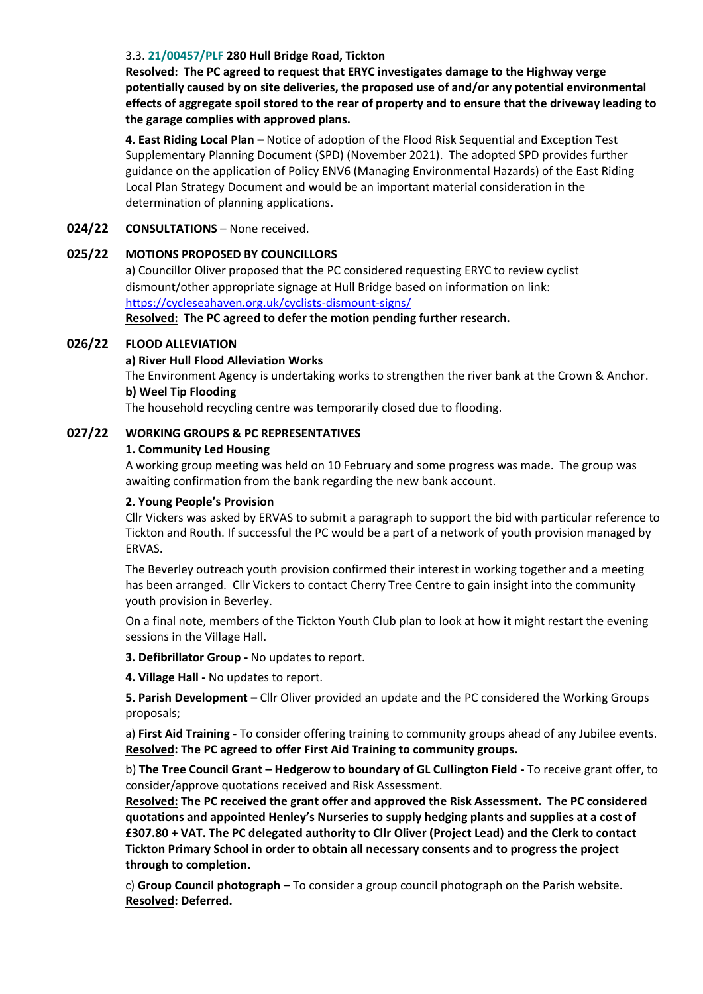## 3.3. **[21/00457/PLF](https://newplanningaccess.eastriding.gov.uk/newplanningaccess/PLAN/21/00457/PLF) 280 Hull Bridge Road, Tickton**

**Resolved: The PC agreed to request that ERYC investigates damage to the Highway verge potentially caused by on site deliveries, the proposed use of and/or any potential environmental effects of aggregate spoil stored to the rear of property and to ensure that the driveway leading to the garage complies with approved plans.**

**4. East Riding Local Plan –** Notice of adoption of the Flood Risk Sequential and Exception Test Supplementary Planning Document (SPD) (November 2021). The adopted SPD provides further guidance on the application of Policy ENV6 (Managing Environmental Hazards) of the East Riding Local Plan Strategy Document and would be an important material consideration in the determination of planning applications.

#### **024/22 CONSULTATIONS** – None received.

#### **025/22 MOTIONS PROPOSED BY COUNCILLORS**

a) Councillor Oliver proposed that the PC considered requesting ERYC to review cyclist dismount/other appropriate signage at Hull Bridge based on information on link: <https://cycleseahaven.org.uk/cyclists-dismount-signs/>

**Resolved: The PC agreed to defer the motion pending further research.**

#### **026/22 FLOOD ALLEVIATION**

#### **a) River Hull Flood Alleviation Works**

The Environment Agency is undertaking works to strengthen the river bank at the Crown & Anchor. **b) Weel Tip Flooding**

The household recycling centre was temporarily closed due to flooding.

#### **027/22 WORKING GROUPS & PC REPRESENTATIVES**

#### **1. Community Led Housing**

A working group meeting was held on 10 February and some progress was made. The group was awaiting confirmation from the bank regarding the new bank account.

#### **2. Young People's Provision**

Cllr Vickers was asked by ERVAS to submit a paragraph to support the bid with particular reference to Tickton and Routh. If successful the PC would be a part of a network of youth provision managed by ERVAS.

The Beverley outreach youth provision confirmed their interest in working together and a meeting has been arranged. Cllr Vickers to contact Cherry Tree Centre to gain insight into the community youth provision in Beverley.

On a final note, members of the Tickton Youth Club plan to look at how it might restart the evening sessions in the Village Hall.

**3. Defibrillator Group -** No updates to report.

**4. Village Hall -** No updates to report.

**5. Parish Development –** Cllr Oliver provided an update and the PC considered the Working Groups proposals;

a) **First Aid Training -** To consider offering training to community groups ahead of any Jubilee events. **Resolved: The PC agreed to offer First Aid Training to community groups.**

b) **The Tree Council Grant – Hedgerow to boundary of GL Cullington Field -** To receive grant offer, to consider/approve quotations received and Risk Assessment.

**Resolved: The PC received the grant offer and approved the Risk Assessment. The PC considered quotations and appointed Henley's Nurseries to supply hedging plants and supplies at a cost of £307.80 + VAT. The PC delegated authority to Cllr Oliver (Project Lead) and the Clerk to contact Tickton Primary School in order to obtain all necessary consents and to progress the project through to completion.** 

c) **Group Council photograph** – To consider a group council photograph on the Parish website. **Resolved: Deferred.**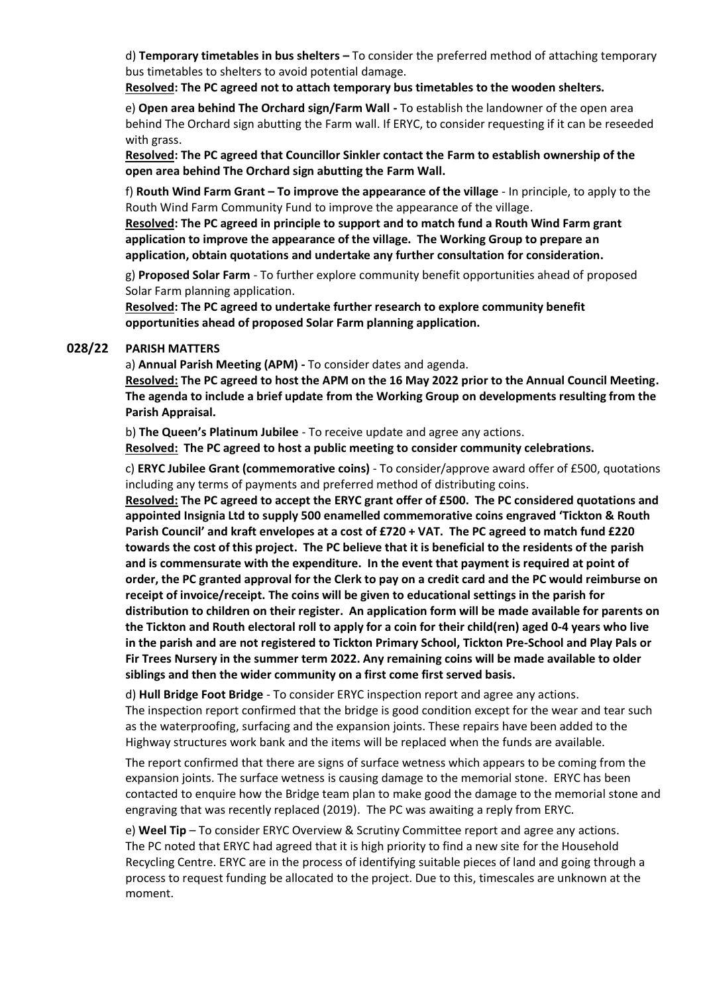d) **Temporary timetables in bus shelters –** To consider the preferred method of attaching temporary bus timetables to shelters to avoid potential damage.

**Resolved: The PC agreed not to attach temporary bus timetables to the wooden shelters.** 

e) **Open area behind The Orchard sign/Farm Wall -** To establish the landowner of the open area behind The Orchard sign abutting the Farm wall. If ERYC, to consider requesting if it can be reseeded with grass.

**Resolved: The PC agreed that Councillor Sinkler contact the Farm to establish ownership of the open area behind The Orchard sign abutting the Farm Wall.**

f) **Routh Wind Farm Grant – To improve the appearance of the village** - In principle, to apply to the Routh Wind Farm Community Fund to improve the appearance of the village.

**Resolved: The PC agreed in principle to support and to match fund a Routh Wind Farm grant application to improve the appearance of the village. The Working Group to prepare an application, obtain quotations and undertake any further consultation for consideration.**

g) **Proposed Solar Farm** - To further explore community benefit opportunities ahead of proposed Solar Farm planning application.

**Resolved: The PC agreed to undertake further research to explore community benefit opportunities ahead of proposed Solar Farm planning application.**

#### **028/22 PARISH MATTERS**

a) **Annual Parish Meeting (APM) -** To consider dates and agenda.

**Resolved: The PC agreed to host the APM on the 16 May 2022 prior to the Annual Council Meeting. The agenda to include a brief update from the Working Group on developments resulting from the Parish Appraisal.**

b) **The Queen's Platinum Jubilee** - To receive update and agree any actions.

**Resolved: The PC agreed to host a public meeting to consider community celebrations.**

c) **ERYC Jubilee Grant (commemorative coins)** - To consider/approve award offer of £500, quotations including any terms of payments and preferred method of distributing coins.

**Resolved: The PC agreed to accept the ERYC grant offer of £500. The PC considered quotations and appointed Insignia Ltd to supply 500 enamelled commemorative coins engraved 'Tickton & Routh Parish Council' and kraft envelopes at a cost of £720 + VAT. The PC agreed to match fund £220 towards the cost of this project. The PC believe that it is beneficial to the residents of the parish and is commensurate with the expenditure. In the event that payment is required at point of order, the PC granted approval for the Clerk to pay on a credit card and the PC would reimburse on receipt of invoice/receipt. The coins will be given to educational settings in the parish for distribution to children on their register. An application form will be made available for parents on the Tickton and Routh electoral roll to apply for a coin for their child(ren) aged 0-4 years who live in the parish and are not registered to Tickton Primary School, Tickton Pre-School and Play Pals or Fir Trees Nursery in the summer term 2022. Any remaining coins will be made available to older siblings and then the wider community on a first come first served basis.**

d) **Hull Bridge Foot Bridge** - To consider ERYC inspection report and agree any actions. The inspection report confirmed that the bridge is good condition except for the wear and tear such as the waterproofing, surfacing and the expansion joints. These repairs have been added to the Highway structures work bank and the items will be replaced when the funds are available.

The report confirmed that there are signs of surface wetness which appears to be coming from the expansion joints. The surface wetness is causing damage to the memorial stone. ERYC has been contacted to enquire how the Bridge team plan to make good the damage to the memorial stone and engraving that was recently replaced (2019). The PC was awaiting a reply from ERYC.

e) **Weel Tip** – To consider ERYC Overview & Scrutiny Committee report and agree any actions. The PC noted that ERYC had agreed that it is high priority to find a new site for the Household Recycling Centre. ERYC are in the process of identifying suitable pieces of land and going through a process to request funding be allocated to the project. Due to this, timescales are unknown at the moment.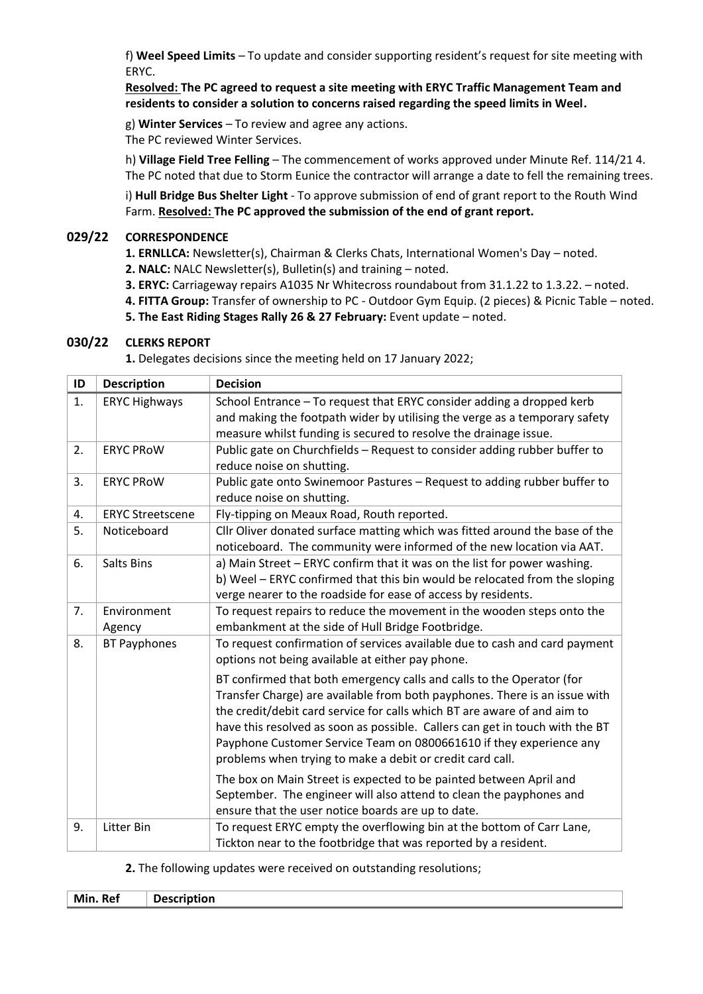f) **Weel Speed Limits** – To update and consider supporting resident's request for site meeting with ERYC.

**Resolved: The PC agreed to request a site meeting with ERYC Traffic Management Team and residents to consider a solution to concerns raised regarding the speed limits in Weel.** 

g) **Winter Services** – To review and agree any actions.

The PC reviewed Winter Services.

h) **Village Field Tree Felling** – The commencement of works approved under Minute Ref. 114/21 4. The PC noted that due to Storm Eunice the contractor will arrange a date to fell the remaining trees.

i) **Hull Bridge Bus Shelter Light** - To approve submission of end of grant report to the Routh Wind Farm. **Resolved: The PC approved the submission of the end of grant report.**

## **029/22 CORRESPONDENCE**

**1. ERNLLCA:** Newsletter(s), Chairman & Clerks Chats, International Women's Day – noted.

**2. NALC:** NALC Newsletter(s), Bulletin(s) and training – noted.

**3. ERYC:** Carriageway repairs A1035 Nr Whitecross roundabout from 31.1.22 to 1.3.22. – noted.

**4. FITTA Group:** Transfer of ownership to PC - Outdoor Gym Equip. (2 pieces) & Picnic Table – noted.

**5. The East Riding Stages Rally 26 & 27 February:** Event update – noted.

## **030/22 CLERKS REPORT**

**1.** Delegates decisions since the meeting held on 17 January 2022;

| ID | <b>Description</b>      | <b>Decision</b>                                                                                                                                                                                                                                                                                                                                                                                                                                     |
|----|-------------------------|-----------------------------------------------------------------------------------------------------------------------------------------------------------------------------------------------------------------------------------------------------------------------------------------------------------------------------------------------------------------------------------------------------------------------------------------------------|
| 1. | <b>ERYC Highways</b>    | School Entrance - To request that ERYC consider adding a dropped kerb                                                                                                                                                                                                                                                                                                                                                                               |
|    |                         | and making the footpath wider by utilising the verge as a temporary safety<br>measure whilst funding is secured to resolve the drainage issue.                                                                                                                                                                                                                                                                                                      |
| 2. | <b>ERYC PROW</b>        | Public gate on Churchfields - Request to consider adding rubber buffer to                                                                                                                                                                                                                                                                                                                                                                           |
|    |                         | reduce noise on shutting.                                                                                                                                                                                                                                                                                                                                                                                                                           |
| 3. | <b>ERYC PROW</b>        | Public gate onto Swinemoor Pastures - Request to adding rubber buffer to                                                                                                                                                                                                                                                                                                                                                                            |
| 4. | <b>ERYC Streetscene</b> | reduce noise on shutting.<br>Fly-tipping on Meaux Road, Routh reported.                                                                                                                                                                                                                                                                                                                                                                             |
|    |                         |                                                                                                                                                                                                                                                                                                                                                                                                                                                     |
| 5. | Noticeboard             | Cllr Oliver donated surface matting which was fitted around the base of the<br>noticeboard. The community were informed of the new location via AAT.                                                                                                                                                                                                                                                                                                |
| 6. | <b>Salts Bins</b>       | a) Main Street - ERYC confirm that it was on the list for power washing.                                                                                                                                                                                                                                                                                                                                                                            |
|    |                         | b) Weel - ERYC confirmed that this bin would be relocated from the sloping                                                                                                                                                                                                                                                                                                                                                                          |
|    |                         | verge nearer to the roadside for ease of access by residents.                                                                                                                                                                                                                                                                                                                                                                                       |
| 7. | Environment             | To request repairs to reduce the movement in the wooden steps onto the                                                                                                                                                                                                                                                                                                                                                                              |
|    | Agency                  | embankment at the side of Hull Bridge Footbridge.                                                                                                                                                                                                                                                                                                                                                                                                   |
| 8. | <b>BT Payphones</b>     | To request confirmation of services available due to cash and card payment<br>options not being available at either pay phone.                                                                                                                                                                                                                                                                                                                      |
|    |                         | BT confirmed that both emergency calls and calls to the Operator (for<br>Transfer Charge) are available from both payphones. There is an issue with<br>the credit/debit card service for calls which BT are aware of and aim to<br>have this resolved as soon as possible. Callers can get in touch with the BT<br>Payphone Customer Service Team on 0800661610 if they experience any<br>problems when trying to make a debit or credit card call. |
|    |                         | The box on Main Street is expected to be painted between April and<br>September. The engineer will also attend to clean the payphones and<br>ensure that the user notice boards are up to date.                                                                                                                                                                                                                                                     |
| 9. | <b>Litter Bin</b>       | To request ERYC empty the overflowing bin at the bottom of Carr Lane,<br>Tickton near to the footbridge that was reported by a resident.                                                                                                                                                                                                                                                                                                            |

#### **2.** The following updates were received on outstanding resolutions;

**Min. Ref Description**